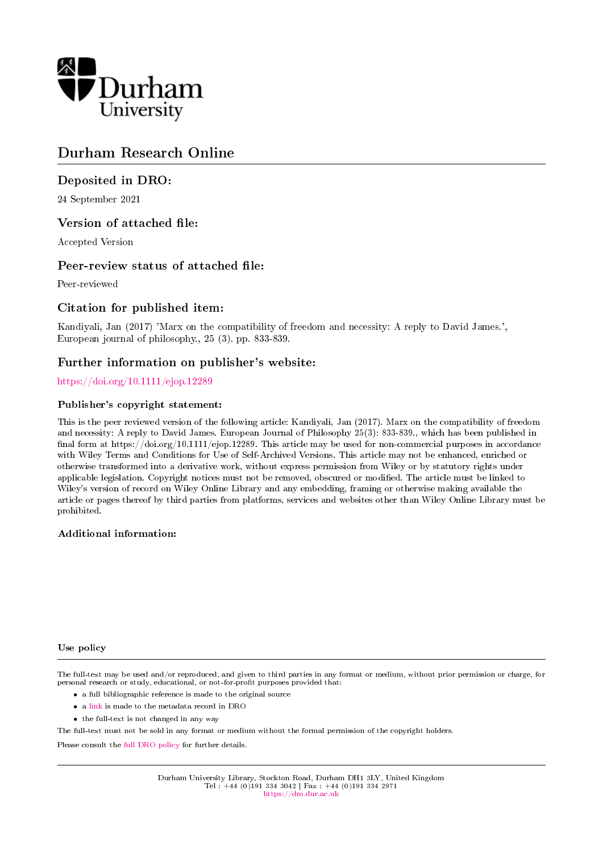

# Durham Research Online

### Deposited in DRO:

24 September 2021

#### Version of attached file:

Accepted Version

#### Peer-review status of attached file:

Peer-reviewed

#### Citation for published item:

Kandiyali, Jan (2017) 'Marx on the compatibility of freedom and necessity: A reply to David James.', European journal of philosophy., 25 (3). pp. 833-839.

### Further information on publisher's website:

#### <https://doi.org/10.1111/ejop.12289>

#### Publisher's copyright statement:

This is the peer reviewed version of the following article: Kandiyali, Jan (2017). Marx on the compatibility of freedom and necessity: A reply to David James. European Journal of Philosophy 25(3): 833-839., which has been published in final form at https://doi.org/10.1111/ejop.12289. This article may be used for non-commercial purposes in accordance with Wiley Terms and Conditions for Use of Self-Archived Versions. This article may not be enhanced, enriched or otherwise transformed into a derivative work, without express permission from Wiley or by statutory rights under applicable legislation. Copyright notices must not be removed, obscured or modied. The article must be linked to Wiley's version of record on Wiley Online Library and any embedding, framing or otherwise making available the article or pages thereof by third parties from platforms, services and websites other than Wiley Online Library must be prohibited.

#### Additional information:

#### Use policy

The full-text may be used and/or reproduced, and given to third parties in any format or medium, without prior permission or charge, for personal research or study, educational, or not-for-profit purposes provided that:

- a full bibliographic reference is made to the original source
- a [link](http://dro.dur.ac.uk/33972/) is made to the metadata record in DRO
- the full-text is not changed in any way

The full-text must not be sold in any format or medium without the formal permission of the copyright holders.

Please consult the [full DRO policy](https://dro.dur.ac.uk/policies/usepolicy.pdf) for further details.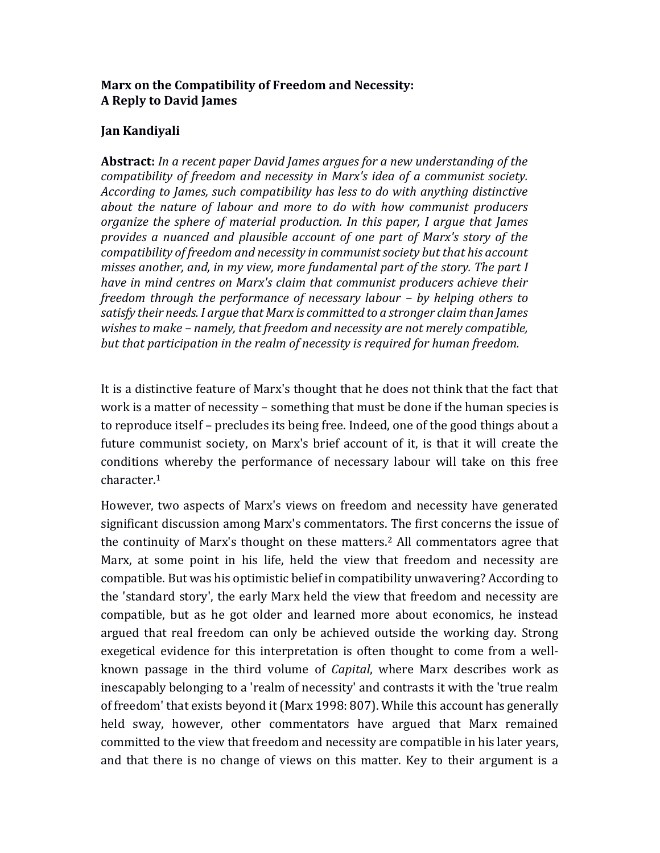### **Marx on the Compatibility of Freedom and Necessity: A Reply to David James**

### **Jan Kandiyali**

**Abstract:** *In a recent paper David James argues for a new understanding of the compatibility of freedom and necessity in Marx's idea of a communist society. According to James, such compatibility has less to do with anything distinctive about the nature of labour and more to do with how communist producers organize the sphere of material production. In this paper, I argue that James provides a nuanced and plausible account of one part of Marx's story of the compatibility of freedom and necessity in communist society but that his account misses another, and, in my view, more fundamental part of the story. The part I have in mind centres on Marx's claim that communist producers achieve their freedom through the performance of necessary labour – by helping others to satisfy their needs. I argue that Marx is committed to a stronger claim than James wishes to make – namely, that freedom and necessity are not merely compatible, but that participation in the realm of necessity is required for human freedom.*

It is a distinctive feature of Marx's thought that he does not think that the fact that work is a matter of necessity – something that must be done if the human species is to reproduce itself – precludes its being free. Indeed, one of the good things about a future communist society, on Marx's brief account of it, is that it will create the conditions whereby the performance of necessary labour will take on this free character.<sup>1</sup>

However, two aspects of Marx's views on freedom and necessity have generated significant discussion among Marx's commentators. The first concerns the issue of the continuity of Marx's thought on these matters.<sup>2</sup> All commentators agree that Marx, at some point in his life, held the view that freedom and necessity are compatible. But was his optimistic belief in compatibility unwavering? According to the 'standard story', the early Marx held the view that freedom and necessity are compatible, but as he got older and learned more about economics, he instead argued that real freedom can only be achieved outside the working day. Strong exegetical evidence for this interpretation is often thought to come from a wellknown passage in the third volume of *Capital*, where Marx describes work as inescapably belonging to a 'realm of necessity' and contrasts it with the 'true realm of freedom' that exists beyond it (Marx 1998: 807). While this account has generally held sway, however, other commentators have argued that Marx remained committed to the view that freedom and necessity are compatible in his later years, and that there is no change of views on this matter. Key to their argument is a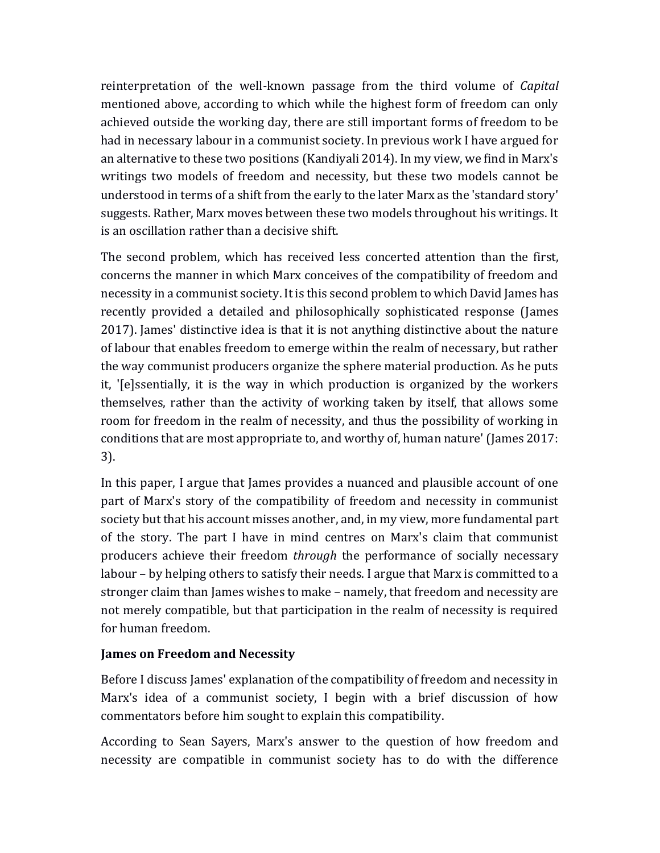reinterpretation of the well-known passage from the third volume of *Capital* mentioned above, according to which while the highest form of freedom can only achieved outside the working day, there are still important forms of freedom to be had in necessary labour in a communist society. In previous work I have argued for an alternative to these two positions (Kandiyali 2014). In my view, we find in Marx's writings two models of freedom and necessity, but these two models cannot be understood in terms of a shift from the early to the later Marx as the 'standard story' suggests. Rather, Marx moves between these two models throughout his writings. It is an oscillation rather than a decisive shift.

The second problem, which has received less concerted attention than the first, concerns the manner in which Marx conceives of the compatibility of freedom and necessity in a communist society. It is this second problem to which David James has recently provided a detailed and philosophically sophisticated response (James 2017). James' distinctive idea is that it is not anything distinctive about the nature of labour that enables freedom to emerge within the realm of necessary, but rather the way communist producers organize the sphere material production. As he puts it, '[e]ssentially, it is the way in which production is organized by the workers themselves, rather than the activity of working taken by itself, that allows some room for freedom in the realm of necessity, and thus the possibility of working in conditions that are most appropriate to, and worthy of, human nature' (James 2017: 3).

In this paper, I argue that James provides a nuanced and plausible account of one part of Marx's story of the compatibility of freedom and necessity in communist society but that his account misses another, and, in my view, more fundamental part of the story. The part I have in mind centres on Marx's claim that communist producers achieve their freedom *through* the performance of socially necessary labour – by helping others to satisfy their needs. I argue that Marx is committed to a stronger claim than James wishes to make – namely, that freedom and necessity are not merely compatible, but that participation in the realm of necessity is required for human freedom.

## **James on Freedom and Necessity**

Before I discuss James' explanation of the compatibility of freedom and necessity in Marx's idea of a communist society, I begin with a brief discussion of how commentators before him sought to explain this compatibility.

According to Sean Sayers, Marx's answer to the question of how freedom and necessity are compatible in communist society has to do with the difference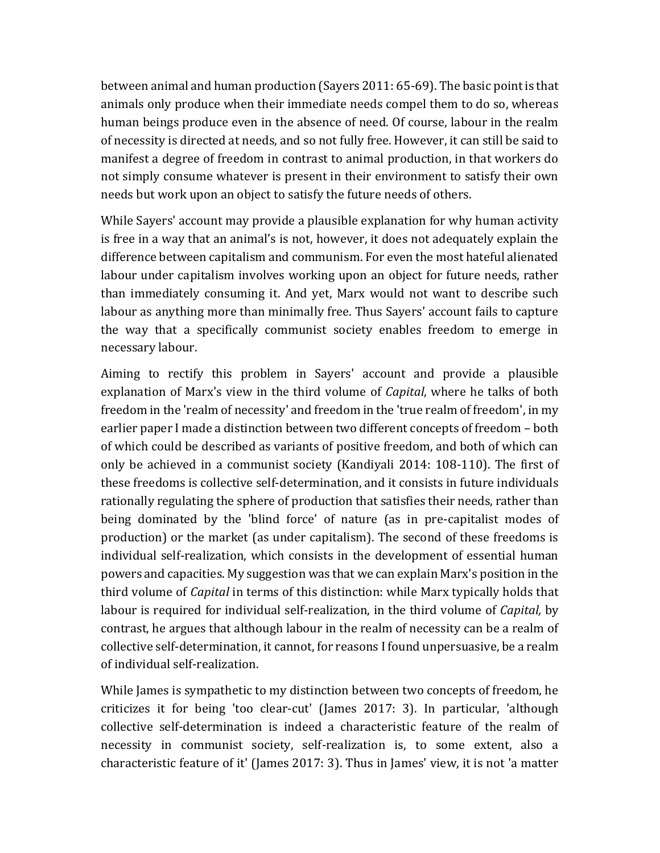between animal and human production (Sayers 2011: 65-69). The basic point is that animals only produce when their immediate needs compel them to do so, whereas human beings produce even in the absence of need. Of course, labour in the realm of necessity is directed at needs, and so not fully free. However, it can still be said to manifest a degree of freedom in contrast to animal production, in that workers do not simply consume whatever is present in their environment to satisfy their own needs but work upon an object to satisfy the future needs of others.

While Sayers' account may provide a plausible explanation for why human activity is free in a way that an animal's is not, however, it does not adequately explain the difference between capitalism and communism. For even the most hateful alienated labour under capitalism involves working upon an object for future needs, rather than immediately consuming it. And yet, Marx would not want to describe such labour as anything more than minimally free. Thus Sayers' account fails to capture the way that a specifically communist society enables freedom to emerge in necessary labour.

Aiming to rectify this problem in Sayers' account and provide a plausible explanation of Marx's view in the third volume of *Capital*, where he talks of both freedom in the 'realm of necessity' and freedom in the 'true realm of freedom', in my earlier paper I made a distinction between two different concepts of freedom – both of which could be described as variants of positive freedom, and both of which can only be achieved in a communist society (Kandiyali 2014: 108-110). The first of these freedoms is collective self-determination, and it consists in future individuals rationally regulating the sphere of production that satisfies their needs, rather than being dominated by the 'blind force' of nature (as in pre-capitalist modes of production) or the market (as under capitalism). The second of these freedoms is individual self-realization, which consists in the development of essential human powers and capacities. My suggestion was that we can explain Marx's position in the third volume of *Capital* in terms of this distinction: while Marx typically holds that labour is required for individual self-realization, in the third volume of *Capital,* by contrast, he argues that although labour in the realm of necessity can be a realm of collective self-determination, it cannot, for reasons I found unpersuasive, be a realm of individual self-realization.

While James is sympathetic to my distinction between two concepts of freedom, he criticizes it for being 'too clear-cut' (James 2017: 3). In particular, 'although collective self-determination is indeed a characteristic feature of the realm of necessity in communist society, self-realization is, to some extent, also a characteristic feature of it' (James 2017: 3). Thus in James' view, it is not 'a matter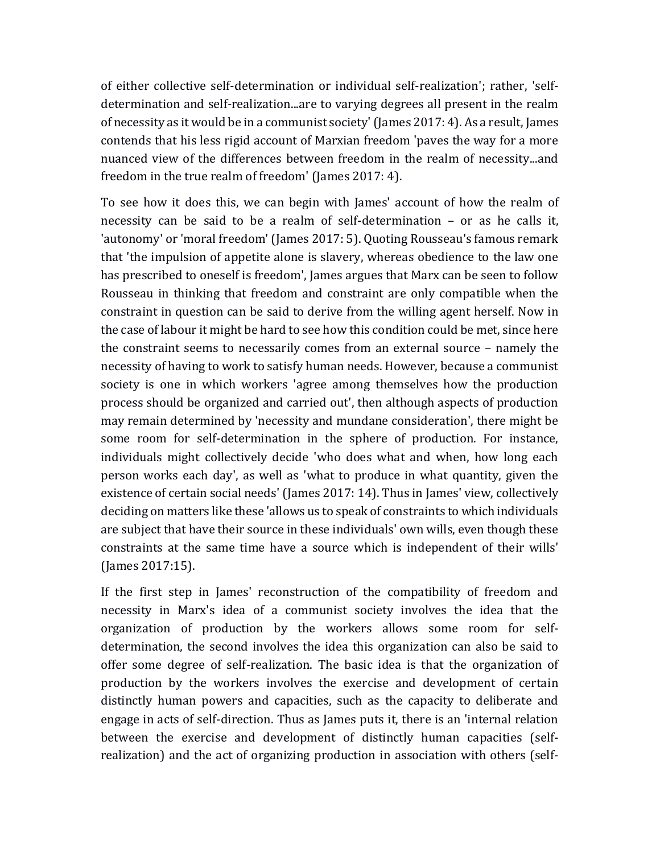of either collective self-determination or individual self-realization'; rather, 'selfdetermination and self-realization...are to varying degrees all present in the realm of necessity as it would be in a communist society' (James 2017: 4). As a result, James contends that his less rigid account of Marxian freedom 'paves the way for a more nuanced view of the differences between freedom in the realm of necessity...and freedom in the true realm of freedom' (James 2017: 4).

To see how it does this, we can begin with James' account of how the realm of necessity can be said to be a realm of self-determination – or as he calls it, 'autonomy' or 'moral freedom' (James 2017: 5). Quoting Rousseau's famous remark that 'the impulsion of appetite alone is slavery, whereas obedience to the law one has prescribed to oneself is freedom', James argues that Marx can be seen to follow Rousseau in thinking that freedom and constraint are only compatible when the constraint in question can be said to derive from the willing agent herself. Now in the case of labour it might be hard to see how this condition could be met, since here the constraint seems to necessarily comes from an external source – namely the necessity of having to work to satisfy human needs. However, because a communist society is one in which workers 'agree among themselves how the production process should be organized and carried out', then although aspects of production may remain determined by 'necessity and mundane consideration', there might be some room for self-determination in the sphere of production. For instance, individuals might collectively decide 'who does what and when, how long each person works each day', as well as 'what to produce in what quantity, given the existence of certain social needs' (James 2017: 14). Thus in James' view, collectively deciding on matters like these 'allows us to speak of constraints to which individuals are subject that have their source in these individuals' own wills, even though these constraints at the same time have a source which is independent of their wills' (James 2017:15).

If the first step in James' reconstruction of the compatibility of freedom and necessity in Marx's idea of a communist society involves the idea that the organization of production by the workers allows some room for selfdetermination, the second involves the idea this organization can also be said to offer some degree of self-realization. The basic idea is that the organization of production by the workers involves the exercise and development of certain distinctly human powers and capacities, such as the capacity to deliberate and engage in acts of self-direction. Thus as James puts it, there is an 'internal relation between the exercise and development of distinctly human capacities (selfrealization) and the act of organizing production in association with others (self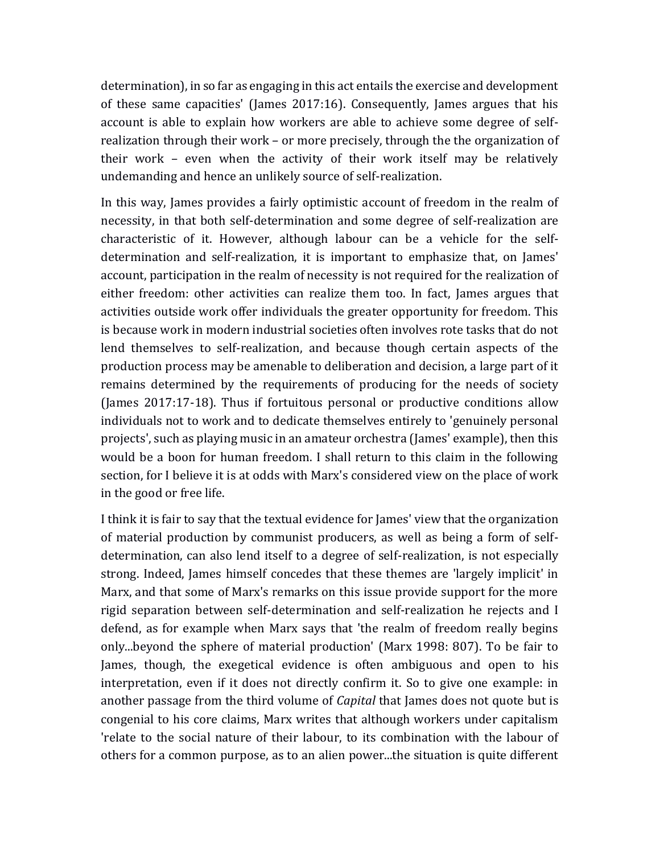determination), in so far as engaging in this act entails the exercise and development of these same capacities' (James 2017:16). Consequently, James argues that his account is able to explain how workers are able to achieve some degree of selfrealization through their work – or more precisely, through the the organization of their work – even when the activity of their work itself may be relatively undemanding and hence an unlikely source of self-realization.

In this way, James provides a fairly optimistic account of freedom in the realm of necessity, in that both self-determination and some degree of self-realization are characteristic of it. However, although labour can be a vehicle for the selfdetermination and self-realization, it is important to emphasize that, on James' account, participation in the realm of necessity is not required for the realization of either freedom: other activities can realize them too. In fact, James argues that activities outside work offer individuals the greater opportunity for freedom. This is because work in modern industrial societies often involves rote tasks that do not lend themselves to self-realization, and because though certain aspects of the production process may be amenable to deliberation and decision, a large part of it remains determined by the requirements of producing for the needs of society (James 2017:17-18). Thus if fortuitous personal or productive conditions allow individuals not to work and to dedicate themselves entirely to 'genuinely personal projects', such as playing music in an amateur orchestra (James' example), then this would be a boon for human freedom. I shall return to this claim in the following section, for I believe it is at odds with Marx's considered view on the place of work in the good or free life.

I think it is fair to say that the textual evidence for James' view that the organization of material production by communist producers, as well as being a form of selfdetermination, can also lend itself to a degree of self-realization, is not especially strong. Indeed, James himself concedes that these themes are 'largely implicit' in Marx, and that some of Marx's remarks on this issue provide support for the more rigid separation between self-determination and self-realization he rejects and I defend, as for example when Marx says that 'the realm of freedom really begins only...beyond the sphere of material production' (Marx 1998: 807). To be fair to James, though, the exegetical evidence is often ambiguous and open to his interpretation, even if it does not directly confirm it. So to give one example: in another passage from the third volume of *Capital* that James does not quote but is congenial to his core claims, Marx writes that although workers under capitalism 'relate to the social nature of their labour, to its combination with the labour of others for a common purpose, as to an alien power...the situation is quite different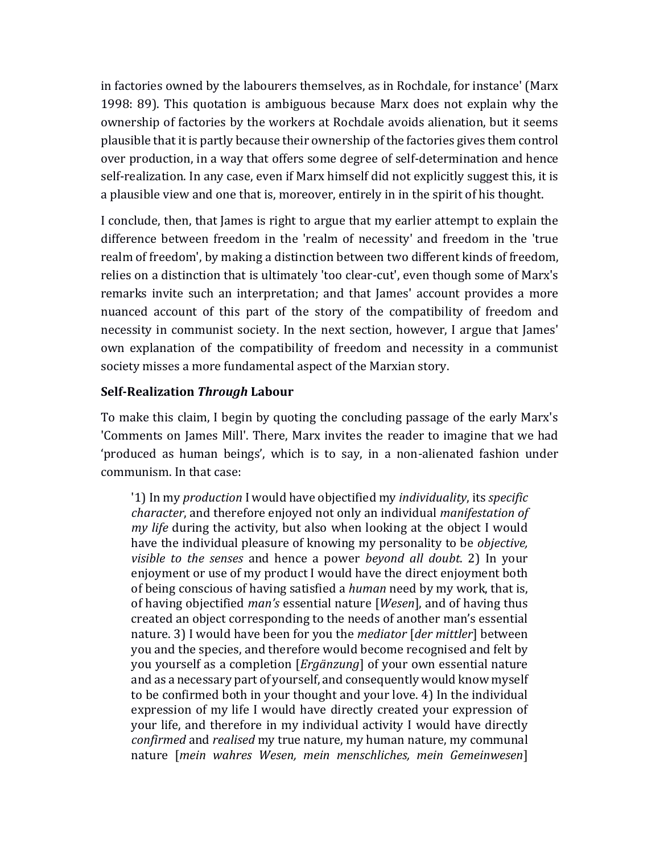in factories owned by the labourers themselves, as in Rochdale, for instance' (Marx 1998: 89). This quotation is ambiguous because Marx does not explain why the ownership of factories by the workers at Rochdale avoids alienation, but it seems plausible that it is partly because their ownership of the factories gives them control over production, in a way that offers some degree of self-determination and hence self-realization. In any case, even if Marx himself did not explicitly suggest this, it is a plausible view and one that is, moreover, entirely in in the spirit of his thought.

I conclude, then, that James is right to argue that my earlier attempt to explain the difference between freedom in the 'realm of necessity' and freedom in the 'true realm of freedom', by making a distinction between two different kinds of freedom, relies on a distinction that is ultimately 'too clear-cut', even though some of Marx's remarks invite such an interpretation; and that James' account provides a more nuanced account of this part of the story of the compatibility of freedom and necessity in communist society. In the next section, however, I argue that James' own explanation of the compatibility of freedom and necessity in a communist society misses a more fundamental aspect of the Marxian story.

## **Self-Realization** *Through* **Labour**

To make this claim, I begin by quoting the concluding passage of the early Marx's 'Comments on James Mill'. There, Marx invites the reader to imagine that we had 'produced as human beings', which is to say, in a non-alienated fashion under communism. In that case:

'1) In my *production* I would have objectified my *individuality*, its *specific character*, and therefore enjoyed not only an individual *manifestation of my life* during the activity, but also when looking at the object I would have the individual pleasure of knowing my personality to be *objective, visible to the senses* and hence a power *beyond all doubt*. 2) In your enjoyment or use of my product I would have the direct enjoyment both of being conscious of having satisfied a *human* need by my work, that is, of having objectified *man's* essential nature [*Wesen*], and of having thus created an object corresponding to the needs of another man's essential nature. 3) I would have been for you the *mediator* [*der mittler*] between you and the species, and therefore would become recognised and felt by you yourself as a completion [*Ergänzung*] of your own essential nature and as a necessary part of yourself, and consequently would know myself to be confirmed both in your thought and your love. 4) In the individual expression of my life I would have directly created your expression of your life, and therefore in my individual activity I would have directly *confirmed* and *realised* my true nature, my human nature, my communal nature [*mein wahres Wesen, mein menschliches, mein Gemeinwesen*]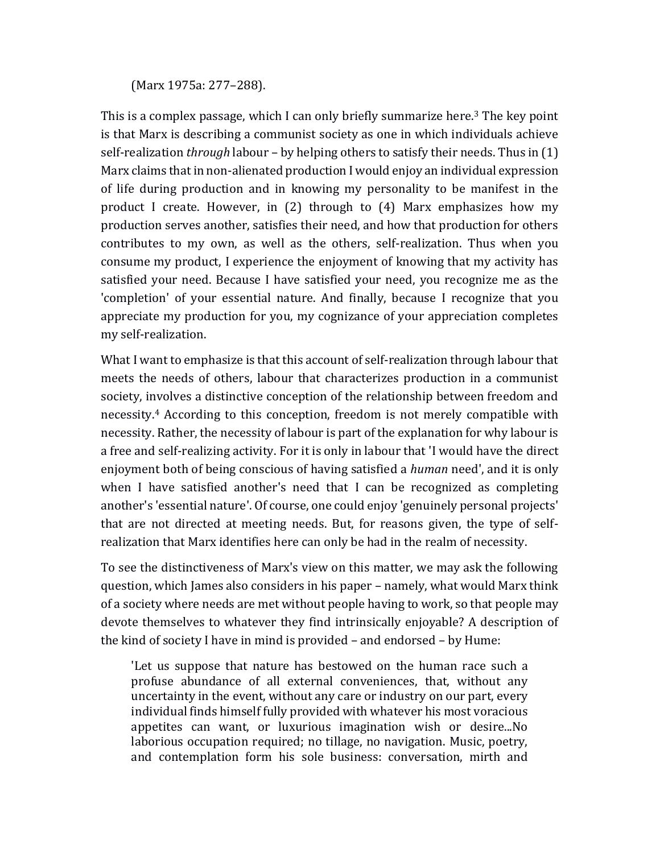(Marx 1975a: 277–288).

This is a complex passage, which I can only briefly summarize here.<sup>3</sup> The key point is that Marx is describing a communist society as one in which individuals achieve self-realization *through* labour – by helping others to satisfy their needs. Thus in (1) Marx claims that in non-alienated production I would enjoy an individual expression of life during production and in knowing my personality to be manifest in the product I create. However, in (2) through to (4) Marx emphasizes how my production serves another, satisfies their need, and how that production for others contributes to my own, as well as the others, self-realization. Thus when you consume my product, I experience the enjoyment of knowing that my activity has satisfied your need. Because I have satisfied your need, you recognize me as the 'completion' of your essential nature. And finally, because I recognize that you appreciate my production for you, my cognizance of your appreciation completes my self-realization.

What I want to emphasize is that this account of self-realization through labour that meets the needs of others, labour that characterizes production in a communist society, involves a distinctive conception of the relationship between freedom and necessity.<sup>4</sup> According to this conception, freedom is not merely compatible with necessity. Rather, the necessity of labour is part of the explanation for why labour is a free and self-realizing activity. For it is only in labour that 'I would have the direct enjoyment both of being conscious of having satisfied a *human* need', and it is only when I have satisfied another's need that I can be recognized as completing another's 'essential nature'. Of course, one could enjoy 'genuinely personal projects' that are not directed at meeting needs. But, for reasons given, the type of selfrealization that Marx identifies here can only be had in the realm of necessity.

To see the distinctiveness of Marx's view on this matter, we may ask the following question, which James also considers in his paper – namely, what would Marx think of a society where needs are met without people having to work, so that people may devote themselves to whatever they find intrinsically enjoyable? A description of the kind of society I have in mind is provided – and endorsed – by Hume:

'Let us suppose that nature has bestowed on the human race such a profuse abundance of all external conveniences, that, without any uncertainty in the event, without any care or industry on our part, every individual finds himself fully provided with whatever his most voracious appetites can want, or luxurious imagination wish or desire...No laborious occupation required; no tillage, no navigation. Music, poetry, and contemplation form his sole business: conversation, mirth and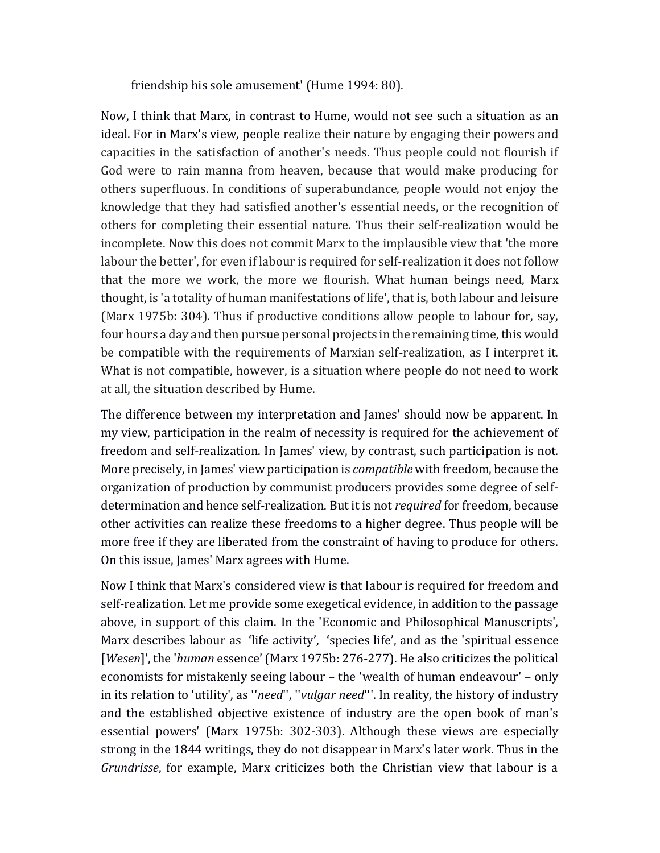friendship his sole amusement' (Hume 1994: 80).

Now, I think that Marx, in contrast to Hume, would not see such a situation as an ideal. For in Marx's view, people realize their nature by engaging their powers and capacities in the satisfaction of another's needs. Thus people could not flourish if God were to rain manna from heaven, because that would make producing for others superfluous. In conditions of superabundance, people would not enjoy the knowledge that they had satisfied another's essential needs, or the recognition of others for completing their essential nature. Thus their self-realization would be incomplete. Now this does not commit Marx to the implausible view that 'the more labour the better', for even if labour is required for self-realization it does not follow that the more we work, the more we flourish. What human beings need, Marx thought, is 'a totality of human manifestations of life', that is, both labour and leisure (Marx 1975b: 304). Thus if productive conditions allow people to labour for, say, four hours a day and then pursue personal projects in the remaining time, this would be compatible with the requirements of Marxian self-realization, as I interpret it. What is not compatible, however, is a situation where people do not need to work at all, the situation described by Hume.

The difference between my interpretation and James' should now be apparent. In my view, participation in the realm of necessity is required for the achievement of freedom and self-realization. In James' view, by contrast, such participation is not. More precisely, in James' view participation is *compatible* with freedom, because the organization of production by communist producers provides some degree of selfdetermination and hence self-realization. But it is not *required* for freedom, because other activities can realize these freedoms to a higher degree. Thus people will be more free if they are liberated from the constraint of having to produce for others. On this issue, James' Marx agrees with Hume.

Now I think that Marx's considered view is that labour is required for freedom and self-realization. Let me provide some exegetical evidence, in addition to the passage above, in support of this claim. In the 'Economic and Philosophical Manuscripts', Marx describes labour as 'life activity', 'species life', and as the 'spiritual essence [*Wesen*]', the '*human* essence' (Marx 1975b: 276-277). He also criticizes the political economists for mistakenly seeing labour – the 'wealth of human endeavour' – only in its relation to 'utility', as ''*need*'', ''*vulgar need*'''. In reality, the history of industry and the established objective existence of industry are the open book of man's essential powers' (Marx 1975b: 302-303). Although these views are especially strong in the 1844 writings, they do not disappear in Marx's later work. Thus in the *Grundrisse*, for example, Marx criticizes both the Christian view that labour is a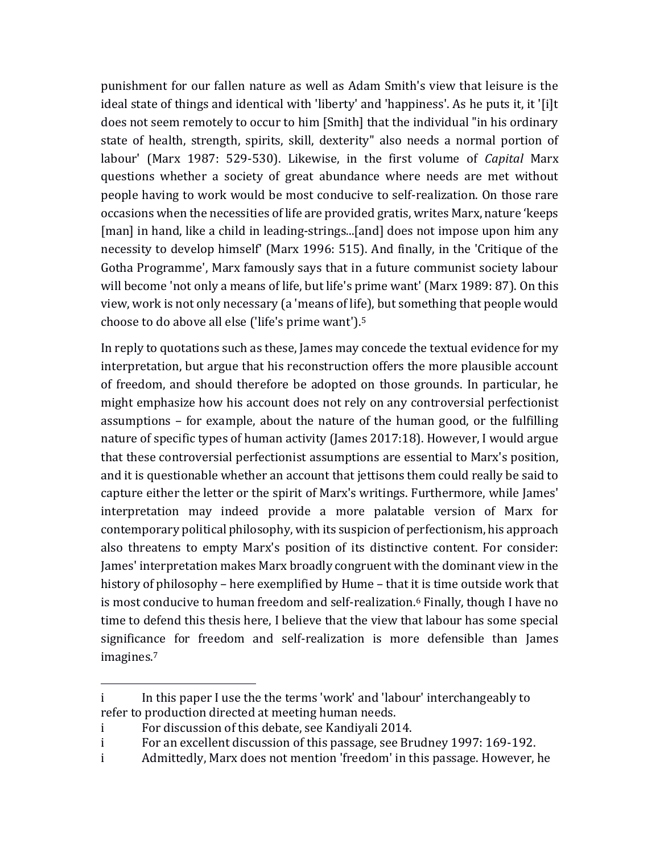punishment for our fallen nature as well as Adam Smith's view that leisure is the ideal state of things and identical with 'liberty' and 'happiness'. As he puts it, it '[i]t does not seem remotely to occur to him [Smith] that the individual "in his ordinary state of health, strength, spirits, skill, dexterity" also needs a normal portion of labour' (Marx 1987: 529-530). Likewise, in the first volume of *Capital* Marx questions whether a society of great abundance where needs are met without people having to work would be most conducive to self-realization. On those rare occasions when the necessities of life are provided gratis, writes Marx, nature 'keeps [man] in hand, like a child in leading-strings...[and] does not impose upon him any necessity to develop himself' (Marx 1996: 515). And finally, in the 'Critique of the Gotha Programme', Marx famously says that in a future communist society labour will become 'not only a means of life, but life's prime want' (Marx 1989: 87). On this view, work is not only necessary (a 'means of life), but something that people would choose to do above all else ('life's prime want').<sup>5</sup>

In reply to quotations such as these, James may concede the textual evidence for my interpretation, but argue that his reconstruction offers the more plausible account of freedom, and should therefore be adopted on those grounds. In particular, he might emphasize how his account does not rely on any controversial perfectionist assumptions – for example, about the nature of the human good, or the fulfilling nature of specific types of human activity (James 2017:18). However, I would argue that these controversial perfectionist assumptions are essential to Marx's position, and it is questionable whether an account that jettisons them could really be said to capture either the letter or the spirit of Marx's writings. Furthermore, while James' interpretation may indeed provide a more palatable version of Marx for contemporary political philosophy, with its suspicion of perfectionism, his approach also threatens to empty Marx's position of its distinctive content. For consider: James' interpretation makes Marx broadly congruent with the dominant view in the history of philosophy – here exemplified by Hume – that it is time outside work that is most conducive to human freedom and self-realization.<sup>6</sup> Finally, though I have no time to defend this thesis here, I believe that the view that labour has some special significance for freedom and self-realization is more defensible than James imagines.<sup>7</sup>

i In this paper I use the the terms 'work' and 'labour' interchangeably to refer to production directed at meeting human needs.

i For discussion of this debate, see Kandiyali 2014.

i For an excellent discussion of this passage, see Brudney 1997: 169-192.

i Admittedly, Marx does not mention 'freedom' in this passage. However, he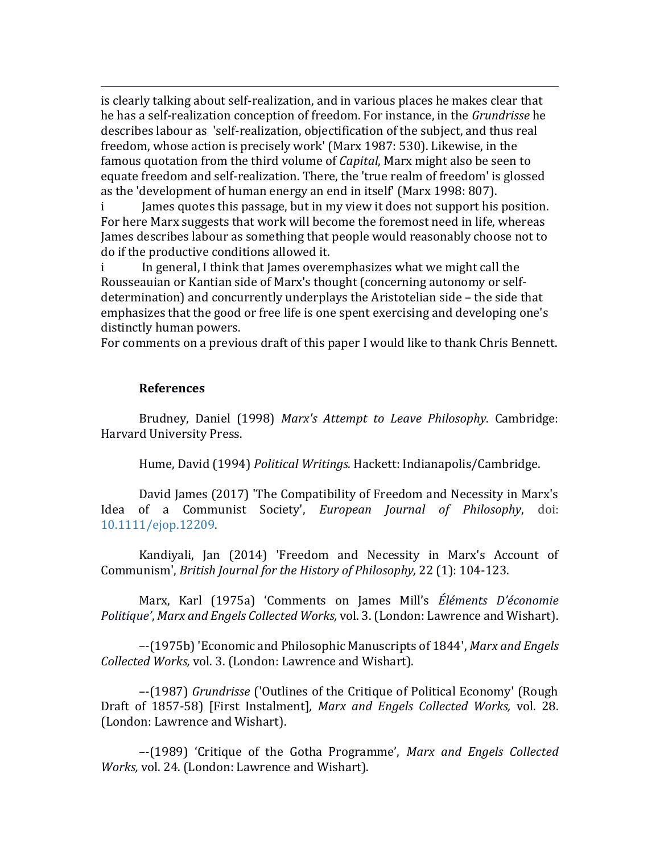is clearly talking about self-realization, and in various places he makes clear that he has a self-realization conception of freedom. For instance, in the *Grundrisse* he describes labour as 'self-realization, objectification of the subject, and thus real freedom, whose action is precisely work' (Marx 1987: 530). Likewise, in the famous quotation from the third volume of *Capital*, Marx might also be seen to equate freedom and self-realization. There, the 'true realm of freedom' is glossed as the 'development of human energy an end in itself' (Marx 1998: 807).

i James quotes this passage, but in my view it does not support his position. For here Marx suggests that work will become the foremost need in life, whereas James describes labour as something that people would reasonably choose not to do if the productive conditions allowed it.

i In general, I think that James overemphasizes what we might call the Rousseauian or Kantian side of Marx's thought (concerning autonomy or selfdetermination) and concurrently underplays the Aristotelian side – the side that emphasizes that the good or free life is one spent exercising and developing one's distinctly human powers.

For comments on a previous draft of this paper I would like to thank Chris Bennett.

### **References**

Brudney, Daniel (1998) *Marx's Attempt to Leave Philosophy*. Cambridge: Harvard University Press.

Hume, David (1994) *Political Writings.* Hackett: Indianapolis/Cambridge.

David James (2017) 'The Compatibility of Freedom and Necessity in Marx's Idea of a Communist Society', *European Journal of Philosophy*, doi: [10.1111/ejop.12209.](http://dx.doi.org/10.1111/ejop.12209)

Kandiyali, Jan (2014) 'Freedom and Necessity in Marx's Account of Communism', *British Journal for the History of Philosophy,* 22 (1): 104-123.

Marx, Karl (1975a) 'Comments on James Mill's *Éléments D'économie Politique'*, *Marx and Engels Collected Works,* vol. 3. (London: Lawrence and Wishart).

–-(1975b) 'Economic and Philosophic Manuscripts of 1844', *Marx and Engels Collected Works,* vol. 3. (London: Lawrence and Wishart).

–-(1987) *Grundrisse* ('Outlines of the Critique of Political Economy' (Rough Draft of 1857-58) [First Instalment]*, Marx and Engels Collected Works,* vol. 28. (London: Lawrence and Wishart).

–-(1989) 'Critique of the Gotha Programme', *Marx and Engels Collected Works,* vol. 24. (London: Lawrence and Wishart).